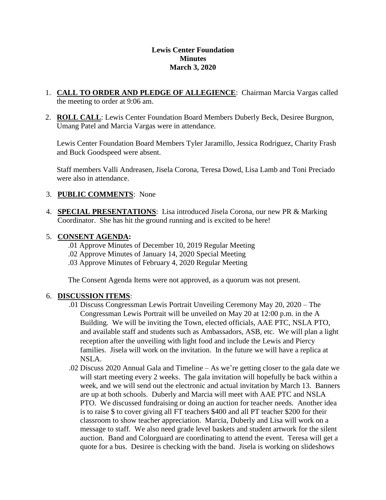#### **Lewis Center Foundation Minutes March 3, 2020**

- 1. **CALL TO ORDER AND PLEDGE OF ALLEGIENCE**: Chairman Marcia Vargas called the meeting to order at 9:06 am.
- 2. **ROLL CALL**: Lewis Center Foundation Board Members Duberly Beck, Desiree Burgnon, Umang Patel and Marcia Vargas were in attendance.

Lewis Center Foundation Board Members Tyler Jaramillo, Jessica Rodriguez, Charity Frash and Buck Goodspeed were absent.

Staff members Valli Andreasen, Jisela Corona, Teresa Dowd, Lisa Lamb and Toni Preciado were also in attendance.

## 3. **PUBLIC COMMENTS**: None

4. **SPECIAL PRESENTATIONS**: Lisa introduced Jisela Corona, our new PR & Marking Coordinator. She has hit the ground running and is excited to be here!

## 5. **CONSENT AGENDA:**

- .01 Approve Minutes of December 10, 2019 Regular Meeting
- .02 Approve Minutes of January 14, 2020 Special Meeting
- .03 Approve Minutes of February 4, 2020 Regular Meeting

The Consent Agenda Items were not approved, as a quorum was not present.

## 6. **DISCUSSION ITEMS**:

- .01 Discuss Congressman Lewis Portrait Unveiling Ceremony May 20, 2020 The Congressman Lewis Portrait will be unveiled on May 20 at 12:00 p.m. in the A Building. We will be inviting the Town, elected officials, AAE PTC, NSLA PTO, and available staff and students such as Ambassadors, ASB, etc. We will plan a light reception after the unveiling with light food and include the Lewis and Piercy families. Jisela will work on the invitation. In the future we will have a replica at NSLA.
- .02 Discuss 2020 Annual Gala and Timeline As we're getting closer to the gala date we will start meeting every 2 weeks. The gala invitation will hopefully be back within a week, and we will send out the electronic and actual invitation by March 13. Banners are up at both schools. Duberly and Marcia will meet with AAE PTC and NSLA PTO. We discussed fundraising or doing an auction for teacher needs. Another idea is to raise \$ to cover giving all FT teachers \$400 and all PT teacher \$200 for their classroom to show teacher appreciation. Marcia, Duberly and Lisa will work on a message to staff. We also need grade level baskets and student artwork for the silent auction. Band and Colorguard are coordinating to attend the event. Teresa will get a quote for a bus. Desiree is checking with the band. Jisela is working on slideshows